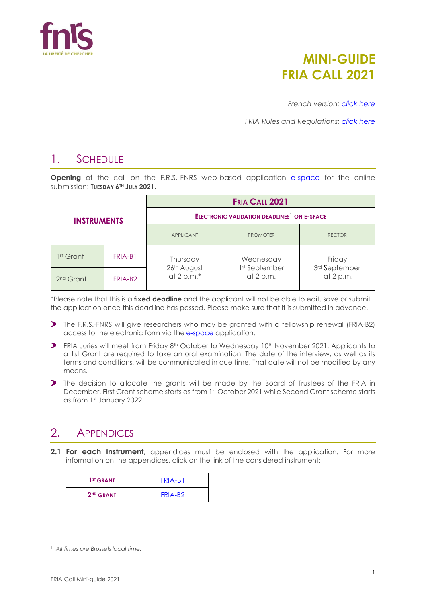

# **MINI-GUIDE FRIA CALL 2021**

*French version: [click here](https://www.frs-fnrs.be/docs/Reglement-et-documents/FRS-FNRS_Mini-guide_Bourses_FRIA_2021_FR.pdf)*

*FRIA Rules and Regulations: [click here](https://www.frs-fnrs.be/docs/Reglement-et-documents/FRS-FNRS_REGL_FRIA_EN.pdf)*

## 1. SCHEDULE

**Opening** of the call on the F.R.S.-FNRS web-based application [e-space](https://e-space.frs-fnrs.be/) for the online submission: **TUESDAY 6TH JULY 2021.**

| <b>INSTRUMENTS</b>    |                     | <b>FRIA CALL 2021</b>                                         |                            |                            |  |
|-----------------------|---------------------|---------------------------------------------------------------|----------------------------|----------------------------|--|
|                       |                     | <b>ELECTRONIC VALIDATION DEADLINES<sup>1</sup> ON E-SPACE</b> |                            |                            |  |
|                       |                     | <b>APPLICANT</b>                                              | <b>PROMOTER</b>            | <b>RECTOR</b>              |  |
| 1 <sup>st</sup> Grant | FRIA-B1             | Thursday                                                      | Wednesday                  | Friday                     |  |
| 2 <sup>nd</sup> Grant | FRIA-B <sub>2</sub> | 26th August<br>at 2 p.m. $*$                                  | 1st September<br>at 2 p.m. | 3rd September<br>at 2 p.m. |  |

\*Please note that this is a **fixed deadline** and the applicant will not be able to edit, save or submit the application once this deadline has passed. Please make sure that it is submitted in advance.

- The F.R.S.-FNRS will give researchers who may be granted with a fellowship renewal (FRIA-B2) access to the electronic form via the **[e-space](https://e-space.frs-fnrs.be/)** application.
- **>** FRIA Juries will meet from Friday 8<sup>th</sup> October to Wednesday 10<sup>th</sup> November 2021. Applicants to a 1st Grant are required to take an oral examination. The date of the interview, as well as its terms and conditions, will be communicated in due time. That date will not be modified by any means.
- The decision to allocate the grants will be made by the Board of Trustees of the FRIA in December. First Grant scheme starts as from 1st October 2021 while Second Grant scheme starts as from 1st January 2022.

# 2. APPENDICES

**2.1 For each instrument**, appendices must be enclosed with the application. For more information on the appendices, click on the link of the considered instrument:

| 1 <sup>ST</sup> GRANT | FRIA-B1             |
|-----------------------|---------------------|
| 2 <sup>ND</sup> GRANT | FRIA-B <sub>2</sub> |

<sup>1</sup> *All times are Brussels local time.*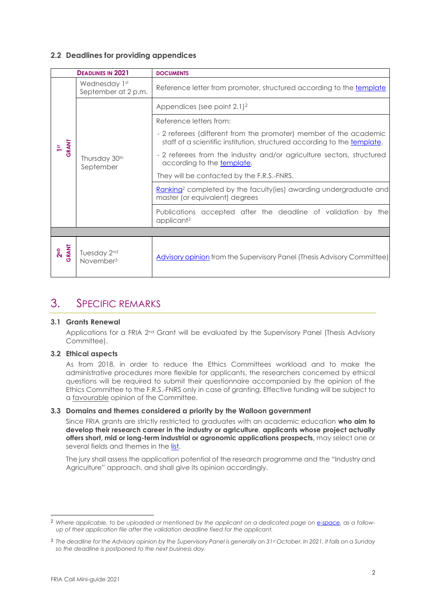#### **2.2 Deadlines for providing appendices**

| <b>DEADLINES IN 2021</b> |                                      | <b>DOCUMENTS</b>                                                                                                                              |
|--------------------------|--------------------------------------|-----------------------------------------------------------------------------------------------------------------------------------------------|
|                          | Wednesday 1st<br>September at 2 p.m. | Reference letter from promoter, structured according to the template                                                                          |
| GRANT                    |                                      | Appendices (see point $2.1$ ) <sup>2</sup>                                                                                                    |
|                          | Thursday 30th<br>September           | Reference letters from:                                                                                                                       |
|                          |                                      | - 2 referees (different from the promoter) member of the academic<br>staff of a scientific institution, structured according to the template, |
|                          |                                      | - 2 referees from the industry and/or agriculture sectors, structured<br>according to the template.                                           |
|                          |                                      | They will be contacted by the F.R.S.-FNRS.                                                                                                    |
|                          |                                      | Ranking <sup>2</sup> completed by the faculty (ies) awarding undergraduate and<br>master (or equivalent) degrees                              |
|                          |                                      | Publications accepted after the deadline of validation by the<br>applicant <sup>2</sup>                                                       |
|                          |                                      |                                                                                                                                               |
| 2 <sup>ND</sup><br>GRANT | Tuesday 2nd<br>November <sup>3</sup> | <b>Advisory opinion</b> from the Supervisory Panel (Thesis Advisory Committee)                                                                |

### 3. SPECIFIC REMARKS

#### **3.1 Grants Renewal**

Applications for a FRIA 2<sup>nd</sup> Grant will be evaluated by the Supervisory Panel (Thesis Advisory Committee).

#### **3.2 Ethical aspects**

As from 2018, in order to reduce the Ethics Committees workload and to make the administrative procedures more flexible for applicants, the researchers concerned by ethical questions will be required to submit their questionnaire accompanied by the opinion of the Ethics Committee to the F.R.S.-FNRS only in case of granting. Effective funding will be subject to a favourable opinion of the Committee.

#### **3.3 Domains and themes considered a priority by the Walloon government**

Since FRIA grants are strictly restricted to graduates with an academic education **who aim to develop their research career in the industry or agriculture**, **applicants whose project actually offers short, mid or long-term industrial or agronomic applications prospects,** may select one or several fields and themes in the [list.](https://e-space.frs-fnrs.be/documents_publics/ressource/fria_thematiques_prioritaires_rw.pdf)

The jury shall assess the application potential of the research programme and the "Industry and Agriculture" approach, and shall give its opinion accordingly.

<sup>2</sup> *Where applicable, to be uploaded or mentioned by the applicant on a dedicated page on [e-space,](https://e-space.frs-fnrs.be/) as a followup of their application file after the validation deadline fixed for the applicant.*

<sup>3</sup> *The deadline for the Advisory opinion by the Supervisory Panel is generally on 31st October. In 2021, it falls on a Sunday so the deadline is postponed to the next business day.*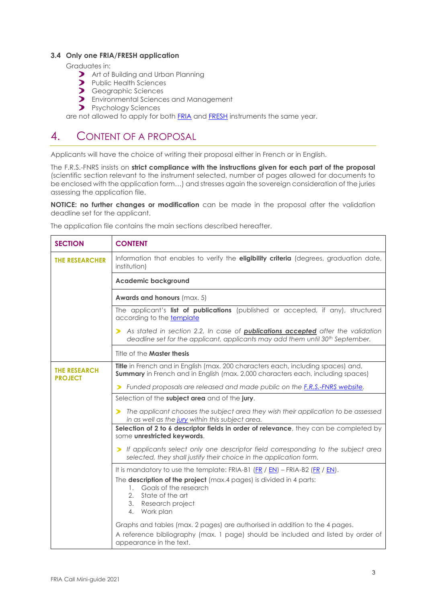#### **3.4 Only one FRIA/FRESH application**

Graduates in:

- Art of Building and Urban Planning
- Public Health Sciences
- **>** Geographic Sciences
- **>** Environmental Sciences and Management
- **P**sychology Sciences

are not allowed to apply for both [FRIA](https://www.frs-fnrs.be/docs/Reglement-et-documents/FRS-FNRS_REGL_FRIA_EN.pdf) and [FRESH](https://www.frs-fnrs.be/docs/Reglement-et-documents/FRS-FNRS_REGL_FRESH_BD_EN.pdf) instruments the same year.

### 4. CONTENT OF A PROPOSAL

Applicants will have the choice of writing their proposal either in French or in English.

The F.R.S.-FNRS insists on **strict compliance with the instructions given for each part of the proposal** (scientific section relevant to the instrument selected, number of pages allowed for documents to be enclosed with the application form…) and stresses again the sovereign consideration of the juries assessing the application file.

**NOTICE: no further changes or modification** can be made in the proposal after the validation deadline set for the applicant.

| <b>SECTION</b>                        | <b>CONTENT</b>                                                                                                                                                                             |  |  |
|---------------------------------------|--------------------------------------------------------------------------------------------------------------------------------------------------------------------------------------------|--|--|
| <b>THE RESEARCHER</b>                 | Information that enables to verify the eligibility criteria (degrees, graduation date,<br>institution)                                                                                     |  |  |
|                                       | <b>Academic background</b>                                                                                                                                                                 |  |  |
|                                       | <b>Awards and honours (max. 5)</b>                                                                                                                                                         |  |  |
|                                       | The applicant's list of publications (published or accepted, if any), structured<br>according to the template                                                                              |  |  |
|                                       | As stated in section 2.2, In case of <b>publications accepted</b> after the validation<br>⋗<br>deadline set for the applicant, applicants may add them until 30 <sup>th</sup> September.   |  |  |
|                                       | Title of the <b>Master thesis</b>                                                                                                                                                          |  |  |
| <b>THE RESEARCH</b><br><b>PROJECT</b> | Title in French and in English (max. 200 characters each, including spaces) and,<br><b>Summary</b> in French and in English (max. 2,000 characters each, including spaces)                 |  |  |
|                                       | Funded proposals are released and made public on the <i>E.R.S.-FNRS</i> website.<br>⋗                                                                                                      |  |  |
|                                       | Selection of the subject area and of the jury.                                                                                                                                             |  |  |
|                                       | The applicant chooses the subject area they wish their application to be assessed<br>in as well as the jury within this subject area.                                                      |  |  |
|                                       | Selection of 2 to 6 descriptor fields in order of relevance, they can be completed by<br>some unrestricted keywords.                                                                       |  |  |
|                                       | If applicants select only one descriptor field corresponding to the subject area<br>selected, they shall justify their choice in the application form.                                     |  |  |
|                                       | It is mandatory to use the template: FRIA-B1 $(FR / EN)$ – FRIA-B2 $(FR / EN)$ .                                                                                                           |  |  |
|                                       | The description of the project (max.4 pages) is divided in 4 parts:<br>Goals of the research<br>1.<br>State of the art<br>2.<br>Research project<br>3.<br>Work plan<br>4.                  |  |  |
|                                       | Graphs and tables (max. 2 pages) are authorised in addition to the 4 pages.<br>A reference bibliography (max. 1 page) should be included and listed by order of<br>appearance in the text. |  |  |

The application file contains the main sections described hereafter.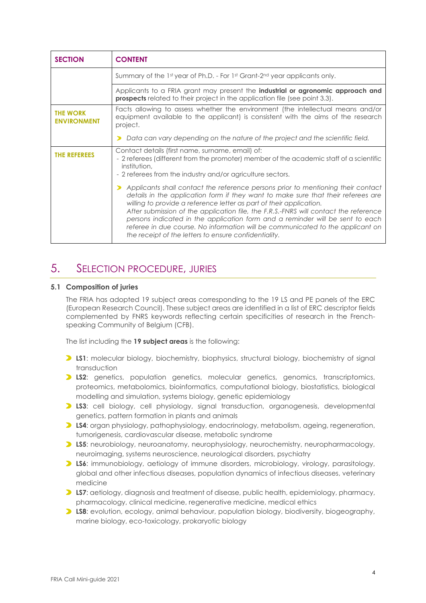| <b>SECTION</b>                        | <b>CONTENT</b>                                                                                                                                                                                                                                                                                                                                                                                                                                                                                                                                                   |  |
|---------------------------------------|------------------------------------------------------------------------------------------------------------------------------------------------------------------------------------------------------------------------------------------------------------------------------------------------------------------------------------------------------------------------------------------------------------------------------------------------------------------------------------------------------------------------------------------------------------------|--|
|                                       | Summary of the $1st$ year of Ph.D. - For $1st$ Grant-2 <sup>nd</sup> year applicants only.                                                                                                                                                                                                                                                                                                                                                                                                                                                                       |  |
|                                       | Applicants to a FRIA grant may present the <b>industrial or agronomic approach and</b><br><b>prospects</b> related to their project in the application file (see point 3.3).                                                                                                                                                                                                                                                                                                                                                                                     |  |
| <b>THE WORK</b><br><b>ENVIRONMENT</b> | Facts allowing to assess whether the environment (the intellectual means and/or<br>equipment available to the applicant) is consistent with the aims of the research<br>project.                                                                                                                                                                                                                                                                                                                                                                                 |  |
|                                       | Data can vary depending on the nature of the project and the scientific field.                                                                                                                                                                                                                                                                                                                                                                                                                                                                                   |  |
| <b>THE REFEREES</b>                   | Contact details (first name, surname, email) of:<br>- 2 referees (different from the promoter) member of the academic staff of a scientific<br>institution,<br>- 2 referees from the industry and/or agriculture sectors.                                                                                                                                                                                                                                                                                                                                        |  |
|                                       | Applicants shall contact the reference persons prior to mentioning their contact<br>details in the application form if they want to make sure that their referees are<br>willing to provide a reference letter as part of their application.<br>After submission of the application file, the F.R.S.-FNRS will contact the reference<br>persons indicated in the application form and a reminder will be sent to each<br>referee in due course. No information will be communicated to the applicant on<br>the receipt of the letters to ensure confidentiality. |  |

### 5. SELECTION PROCEDURE, JURIES

#### **5.1 Composition of juries**

The FRIA has adopted 19 subject areas corresponding to the 19 LS and PE panels of the ERC (European Research Council). These subject areas are identified in a list of ERC descriptor fields complemented by FNRS keywords reflecting certain specificities of research in the Frenchspeaking Community of Belgium (CFB).

The list including the **19 subject areas** is the following:

- **LS1:** molecular biology, biochemistry, biophysics, structural biology, biochemistry of signal transduction
- **LS2**: genetics, population genetics, molecular genetics, genomics, transcriptomics, proteomics, metabolomics, bioinformatics, computational biology, biostatistics, biological modelling and simulation, systems biology, genetic epidemiology
- **LS3**: cell biology, cell physiology, signal transduction, organogenesis, developmental genetics, pattern formation in plants and animals
- **LS4**: organ physiology, pathophysiology, endocrinology, metabolism, ageing, regeneration, tumorigenesis, cardiovascular disease, metabolic syndrome
- **LS5:** neurobiology, neuroanatomy, neurophysiology, neurochemistry, neuropharmacology, neuroimaging, systems neuroscience, neurological disorders, psychiatry
- **LS6**: immunobiology, aetiology of immune disorders, microbiology, virology, parasitology, global and other infectious diseases, population dynamics of infectious diseases, veterinary medicine
- **LS7:** aetiology, diagnosis and treatment of disease, public health, epidemiology, pharmacy, pharmacology, clinical medicine, regenerative medicine, medical ethics
- **LS8:** evolution, ecology, animal behaviour, population biology, biodiversity, biogeography, marine biology, eco-toxicology, prokaryotic biology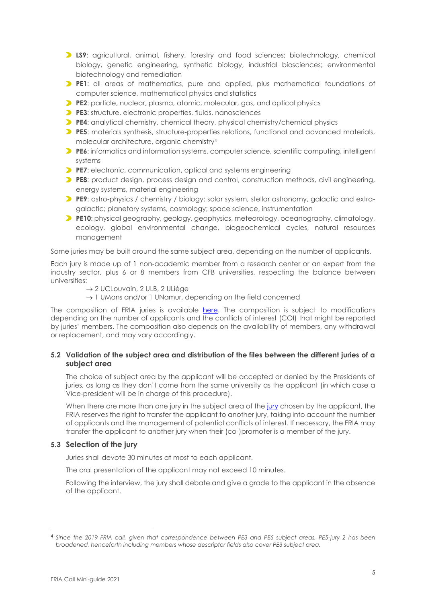- **LS9**: agricultural, animal, fishery, forestry and food sciences; biotechnology, chemical biology, genetic engineering, synthetic biology, industrial biosciences; environmental biotechnology and remediation
- **PE1**: all areas of mathematics, pure and applied, plus mathematical foundations of computer science, mathematical physics and statistics
- **PE2**: particle, nuclear, plasma, atomic, molecular, gas, and optical physics
- **PE3**: structure, electronic properties, fluids, nanosciences
- **PE4**: analytical chemistry, chemical theory, physical chemistry/chemical physics
- **PE5**: materials synthesis, structure-properties relations, functional and advanced materials, molecular architecture, organic chemistry<sup>4</sup>
- **PE6:** informatics and information systems, computer science, scientific computing, intelligent systems
- **PE7**: electronic, communication, optical and systems engineering
- **PE8**: product design, process design and control, construction methods, civil engineering, energy systems, material engineering
- **PE9:** astro-physics / chemistry / biology; solar system, stellar astronomy, galactic and extragalactic; planetary systems, cosmology; space science, instrumentation
- **PE10**: physical geography, geology, geophysics, meteorology, oceanography, climatology, ecology, global environmental change, biogeochemical cycles, natural resources management

Some juries may be built around the same subject area, depending on the number of applicants.

Each jury is made up of 1 non-academic member from a research center or an expert from the industry sector, plus 6 or 8 members from CFB universities, respecting the balance between universities:

- → 2 UCLouvain, 2 ULB, 2 ULiège
- $\rightarrow$  1 UMons and/or 1 UNamur, depending on the field concerned

The composition of FRIA juries is available [here.](https://www.frs-fnrs.be/docs/Reglement-et-documents/FRS-FNRS_JurysFRIA.pdf) The composition is subject to modifications depending on the number of applicants and the conflicts of interest (COI) that might be reported by juries' members. The composition also depends on the availability of members, any withdrawal or replacement, and may vary accordingly.

#### **5.2 Validation of the subject area and distribution of the files between the different juries of a subject area**

The choice of subject area by the applicant will be accepted or denied by the Presidents of juries, as long as they don't come from the same university as the applicant (in which case a Vice-president will be in charge of this procedure).

When there are more than one [jury](https://www.frs-fnrs.be/docs/Reglement-et-documents/FRS-FNRS_JurysFRIA.pdf) in the subject area of the jury chosen by the applicant, the FRIA reserves the right to transfer the applicant to another jury, taking into account the number of applicants and the management of potential conflicts of interest. If necessary, the FRIA may transfer the applicant to another jury when their (co-)promoter is a member of the jury.

#### **5.3 Selection of the jury**

Juries shall devote 30 minutes at most to each applicant.

The oral presentation of the applicant may not exceed 10 minutes.

Following the interview, the jury shall debate and give a grade to the applicant in the absence of the applicant.

<sup>4</sup> *Since the 2019 FRIA call, given that correspondence between PE3 and PE5 subject areas, PE5-jury 2 has been broadened, henceforth including members whose descriptor fields also cover PE3 subject area.*